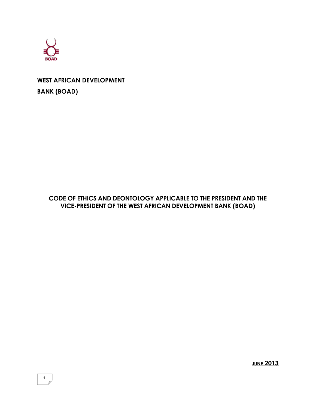

# **WEST AFRICAN DEVELOPMENT BANK (BOAD)**

# **CODE OF ETHICS AND DEONTOLOGY APPLICABLE TO THE PRESIDENT AND THE VICE-PRESIDENT OF THE WEST AFRICAN DEVELOPMENT BANK (BOAD)**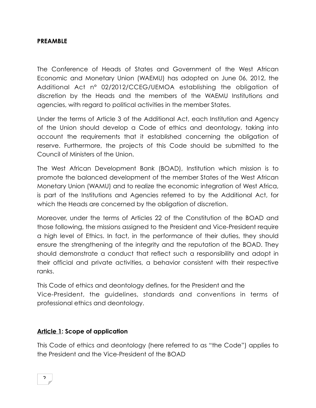#### **PREAMBLE**

The Conference of Heads of States and Government of the West African Economic and Monetary Union (WAEMU) has adopted on June 06, 2012, the Additional Act n° 02/2012/CCEG/UEMOA establishing the obligation of discretion by the Heads and the members of the WAEMU Institutions and agencies, with regard to political activities in the member States.

Under the terms of Article 3 of the Additional Act, each Institution and Agency of the Union should develop a Code of ethics and deontology, taking into account the requirements that it established concerning the obligation of reserve. Furthermore, the projects of this Code should be submitted to the Council of Ministers of the Union.

The West African Development Bank (BOAD), Institution which mission is to promote the balanced development of the member States of the West African Monetary Union (WAMU) and to realize the economic integration of West Africa, is part of the Institutions and Agencies referred to by the Additional Act, for which the Heads are concerned by the obligation of discretion.

Moreover, under the terms of Articles 22 of the Constitution of the BOAD and those following, the missions assigned to the President and Vice-President require a high level of Ethics. In fact, in the performance of their duties, they should ensure the strengthening of the integrity and the reputation of the BOAD. They should demonstrate a conduct that reflect such a responsibility and adopt in their official and private activities, a behavior consistent with their respective ranks.

This Code of ethics and deontology defines, for the President and the Vice-President, the guidelines, standards and conventions in terms of professional ethics and deontology.

# **Article 1: Scope of application**

This Code of ethics and deontology (here referred to as "the Code") applies to the President and the Vice-President of the BOAD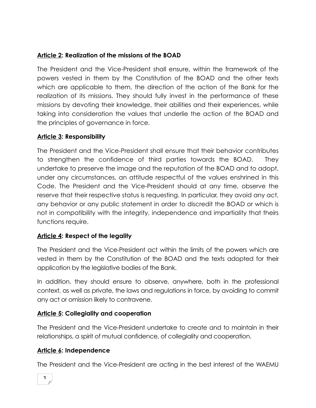# **Article 2: Realization of the missions of the BOAD**

The President and the Vice-President shall ensure, within the framework of the powers vested in them by the Constitution of the BOAD and the other texts which are applicable to them, the direction of the action of the Bank for the realization of its missions. They should fully invest in the performance of these missions by devoting their knowledge, their abilities and their experiences, while taking into consideration the values that underlie the action of the BOAD and the principles of governance in force.

#### **Article 3: Responsibility**

The President and the Vice-President shall ensure that their behavior contributes to strengthen the confidence of third parties towards the BOAD. They undertake to preserve the image and the reputation of the BOAD and to adopt, under any circumstances, an attitude respectful of the values enshrined in this Code. The President and the Vice-President should at any time, observe the reserve that their respective status is requesting. In particular, they avoid any act, any behavior or any public statement in order to discredit the BOAD or which is not in compatibility with the integrity, independence and impartiality that theirs functions require.

# **Article 4: Respect of the legality**

The President and the Vice-President act within the limits of the powers which are vested in them by the Constitution of the BOAD and the texts adopted for their application by the legislative bodies of the Bank.

In addition, they should ensure to observe, anywhere, both in the professional context, as well as private, the laws and regulations in force, by avoiding to commit any act or omission likely to contravene.

# **Article 5: Collegiality and cooperation**

The President and the Vice-President undertake to create and to maintain in their relationships, a spirit of mutual confidence, of collegiality and cooperation.

# **Article 6: Independence**

The President and the Vice-President are acting in the best interest of the WAEMU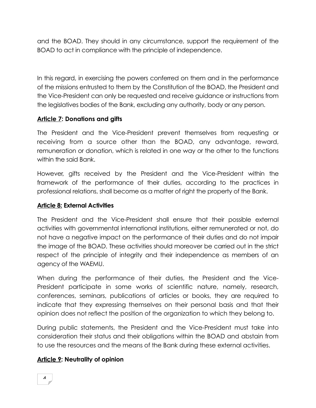and the BOAD. They should in any circumstance, support the requirement of the BOAD to act in compliance with the principle of independence.

In this regard, in exercising the powers conferred on them and in the performance of the missions entrusted to them by the Constitution of the BOAD, the President and the Vice-President can only be requested and receive guidance or instructions from the legislatives bodies of the Bank, excluding any authority, body or any person.

#### **Article 7: Donations and gifts**

The President and the Vice-President prevent themselves from requesting or receiving from a source other than the BOAD, any advantage, reward, remuneration or donation, which is related in one way or the other to the functions within the said Bank.

However, gifts received by the President and the Vice-President within the framework of the performance of their duties, according to the practices in professional relations, shall become as a matter of right the property of the Bank.

#### **Article 8: External Activities**

The President and the Vice-President shall ensure that their possible external activities with governmental international institutions, either remunerated or not, do not have a negative impact on the performance of their duties and do not impair the image of the BOAD. These activities should moreover be carried out in the strict respect of the principle of integrity and their independence as members of an agency of the WAEMU.

When during the performance of their duties, the President and the Vice-President participate in some works of scientific nature, namely, research, conferences, seminars, publications of articles or books, they are required to indicate that they expressing themselves on their personal basis and that their opinion does not reflect the position of the organization to which they belong to.

During public statements, the President and the Vice-President must take into consideration their status and their obligations within the BOAD and abstain from to use the resources and the means of the Bank during these external activities.

#### **Article 9: Neutrality of opinion**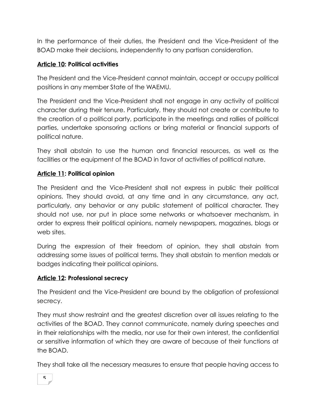In the performance of their duties, the President and the Vice-President of the BOAD make their decisions, independently to any partisan consideration.

# **Article 10: Political activities**

The President and the Vice-President cannot maintain, accept or occupy political positions in any member State of the WAEMU.

The President and the Vice-President shall not engage in any activity of political character during their tenure. Particularly, they should not create or contribute to the creation of a political party, participate in the meetings and rallies of political parties, undertake sponsoring actions or bring material or financial supports of political nature.

They shall abstain to use the human and financial resources, as well as the facilities or the equipment of the BOAD in favor of activities of political nature.

# **Article 11: Political opinion**

The President and the Vice-President shall not express in public their political opinions. They should avoid, at any time and in any circumstance, any act, particularly, any behavior or any public statement of political character. They should not use, nor put in place some networks or whatsoever mechanism, in order to express their political opinions, namely newspapers, magazines, blogs or web sites.

During the expression of their freedom of opinion, they shall abstain from addressing some issues of political terms. They shall abstain to mention medals or badges indicating their political opinions.

# **Article 12: Professional secrecy**

The President and the Vice-President are bound by the obligation of professional secrecy.

They must show restraint and the greatest discretion over all issues relating to the activities of the BOAD. They cannot communicate, namely during speeches and in their relationships with the media, nor use for their own interest, the confidential or sensitive information of which they are aware of because of their functions at the BOAD.

They shall take all the necessary measures to ensure that people having access to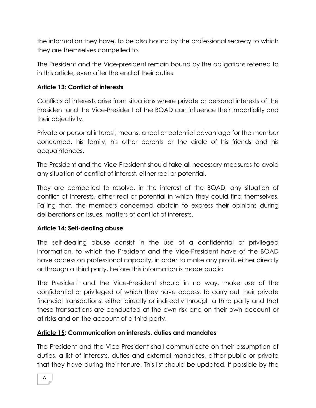the information they have, to be also bound by the professional secrecy to which they are themselves compelled to.

The President and the Vice-president remain bound by the obligations referred to in this article, even after the end of their duties.

# **Article 13: Conflict of interests**

Conflicts of interests arise from situations where private or personal interests of the President and the Vice-President of the BOAD can influence their impartiality and their objectivity.

Private or personal interest, means, a real or potential advantage for the member concerned, his family, his other parents or the circle of his friends and his acquaintances.

The President and the Vice-President should take all necessary measures to avoid any situation of conflict of interest, either real or potential.

They are compelled to resolve, in the interest of the BOAD, any situation of conflict of interests, either real or potential in which they could find themselves. Failing that, the members concerned abstain to express their opinions during deliberations on issues, matters of conflict of interests.

# **Article 14: Self-dealing abuse**

The self-dealing abuse consist in the use of a confidential or privileged information, to which the President and the Vice-President have of the BOAD have access on professional capacity, in order to make any profit, either directly or through a third party, before this information is made public.

The President and the Vice-President should in no way, make use of the confidential or privileged of which they have access, to carry out their private financial transactions, either directly or indirectly through a third party and that these transactions are conducted at the own risk and on their own account or at risks and on the account of a third party.

# **Article 15: Communication on interests, duties and mandates**

The President and the Vice-President shall communicate on their assumption of duties, a list of interests, duties and external mandates, either public or private that they have during their tenure. This list should be updated, if possible by the